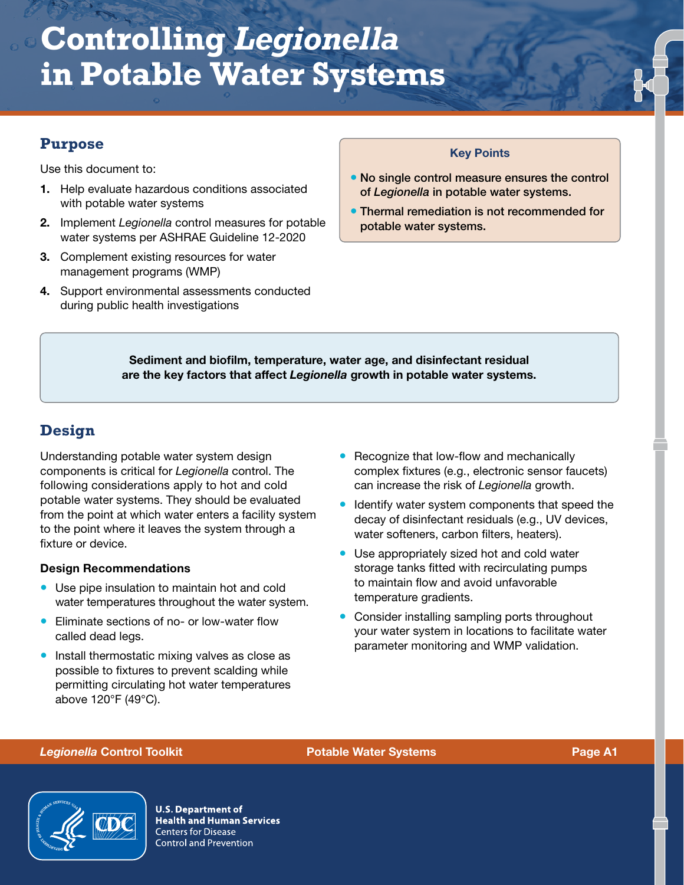## **Purpose**

Use this document to:

- 1. Help evaluate hazardous conditions associated with potable water systems
- 2. Implement *Legionella* control measures for potable water systems per ASHRAE Guideline 12-2020
- 3. Complement existing resources for water management programs (WMP)
- 4. Support environmental assessments conducted during public health investigations

### Key Points

- No single control measure ensures the control of *Legionella* in potable water systems.
- Thermal remediation is not recommended for potable water systems.

Sediment and biofilm, temperature, water age, and disinfectant residual are the key factors that affect *Legionella* growth in potable water systems.

# **Design**

Understanding potable water system design components is critical for *Legionella* control. The following considerations apply to hot and cold potable water systems. They should be evaluated from the point at which water enters a facility system to the point where it leaves the system through a fixture or device.

### Design Recommendations

- Use pipe insulation to maintain hot and cold water temperatures throughout the water system.
- Eliminate sections of no- or low-water flow called dead legs.
- Install thermostatic mixing valves as close as possible to fixtures to prevent scalding while permitting circulating hot water temperatures above 120°F (49°C).
- Recognize that low-flow and mechanically complex fixtures (e.g., electronic sensor faucets) can increase the risk of *Legionella* growth.
- Identify water system components that speed the decay of disinfectant residuals (e.g., UV devices, water softeners, carbon filters, heaters).
- Use appropriately sized hot and cold water storage tanks fitted with recirculating pumps to maintain flow and avoid unfavorable temperature gradients.
- Consider installing sampling ports throughout your water system in locations to facilitate water parameter monitoring and WMP validation.

### *Legionella* Control Toolkit Potable Water Systems Page A1



**U.S. Department of Health and Human Services Centers for Disease Control and Prevention**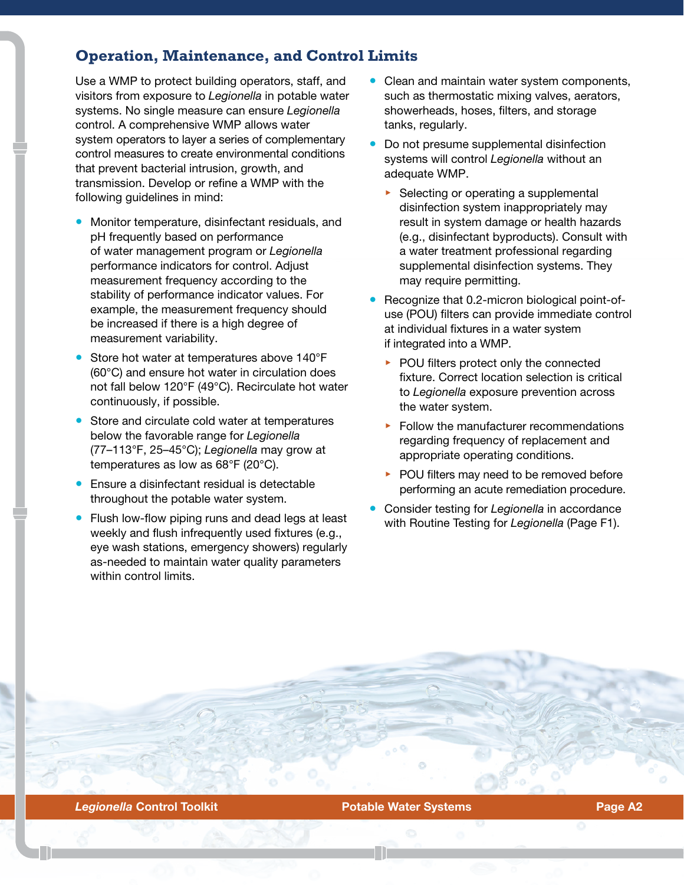## **Operation, Maintenance, and Control Limits**

Use a WMP to protect building operators, staff, and visitors from exposure to *Legionella* in potable water systems. No single measure can ensure *Legionella*  control. A comprehensive WMP allows water system operators to layer a series of complementary control measures to create environmental conditions that prevent bacterial intrusion, growth, and transmission. Develop or refine a WMP with the following guidelines in mind:

- Monitor temperature, disinfectant residuals, and pH frequently based on performance of water management program or *Legionella* performance indicators for control. Adjust measurement frequency according to the stability of performance indicator values. For example, the measurement frequency should be increased if there is a high degree of measurement variability.
- Store hot water at temperatures above 140°F (60°C) and ensure hot water in circulation does not fall below 120°F (49°C). Recirculate hot water continuously, if possible.
- Store and circulate cold water at temperatures below the favorable range for *Legionella* (77–113°F, 25–45°C); *Legionella* may grow at temperatures as low as 68°F (20°C).
- Ensure a disinfectant residual is detectable throughout the potable water system.
- Flush low-flow piping runs and dead legs at least weekly and flush infrequently used fixtures (e.g., eye wash stations, emergency showers) regularly as-needed to maintain water quality parameters within control limits.
- Clean and maintain water system components, such as thermostatic mixing valves, aerators, showerheads, hoses, filters, and storage tanks, regularly.
- Do not presume supplemental disinfection systems will control *Legionella* without an adequate WMP.
	- ▶ Selecting or operating a supplemental disinfection system inappropriately may result in system damage or health hazards (e.g., disinfectant byproducts). Consult with a water treatment professional regarding supplemental disinfection systems. They may require permitting.
- Recognize that 0.2-micron biological point-ofuse (POU) filters can provide immediate control at individual fixtures in a water system if integrated into a WMP.
	- ▶ POU filters protect only the connected fixture. Correct location selection is critical to *Legionella* exposure prevention across the water system.
	- ▶ Follow the manufacturer recommendations regarding frequency of replacement and appropriate operating conditions.
	- ▶ POU filters may need to be removed before performing an acute remediation procedure.
- Consider testing for *Legionella* in accordance with Routine Testing for *Legionella* (Page F1).

**Legionella Control Toolkit Control Toolkit Control Control Potable Water Systems Control Page A2**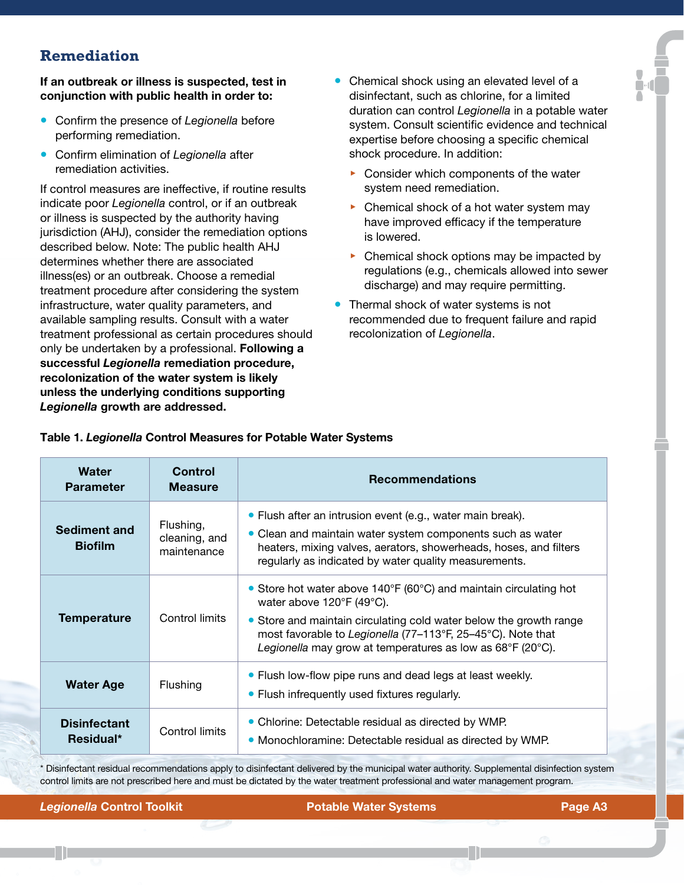## **Remediation**

If an outbreak or illness is suspected, test in conjunction with public health in order to:

- Confirm the presence of *Legionella* before performing remediation.
- Confirm elimination of *Legionella* after remediation activities.

If control measures are ineffective, if routine results indicate poor *Legionella* control, or if an outbreak or illness is suspected by the authority having jurisdiction (AHJ), consider the remediation options described below. Note: The public health AHJ determines whether there are associated illness(es) or an outbreak. Choose a remedial treatment procedure after considering the system infrastructure, water quality parameters, and available sampling results. Consult with a water treatment professional as certain procedures should only be undertaken by a professional. Following a successful *Legionella* remediation procedure, recolonization of the water system is likely unless the underlying conditions supporting *Legionella* growth are addressed.

- Chemical shock using an elevated level of a disinfectant, such as chlorine, for a limited duration can control *Legionella* in a potable water system. Consult scientific evidence and technical expertise before choosing a specific chemical shock procedure. In addition:
	- ▶ Consider which components of the water system need remediation.
	- ▶ Chemical shock of a hot water system may have improved efficacy if the temperature is lowered.
	- ▶ Chemical shock options may be impacted by regulations (e.g., chemicals allowed into sewer discharge) and may require permitting.
- Thermal shock of water systems is not recommended due to frequent failure and rapid recolonization of *Legionella*.

| Water<br><b>Parameter</b>        | Control<br><b>Measure</b>                 | <b>Recommendations</b>                                                                                                                                                                                                                                                                                                                     |
|----------------------------------|-------------------------------------------|--------------------------------------------------------------------------------------------------------------------------------------------------------------------------------------------------------------------------------------------------------------------------------------------------------------------------------------------|
| Sediment and<br><b>Biofilm</b>   | Flushing,<br>cleaning, and<br>maintenance | • Flush after an intrusion event (e.g., water main break).<br>• Clean and maintain water system components such as water<br>heaters, mixing valves, aerators, showerheads, hoses, and filters<br>regularly as indicated by water quality measurements.                                                                                     |
| <b>Temperature</b>               | Control limits                            | • Store hot water above $140^{\circ}F$ (60 $^{\circ}C$ ) and maintain circulating hot<br>water above 120°F (49°C).<br>• Store and maintain circulating cold water below the growth range<br>most favorable to Legionella (77-113°F, 25-45°C). Note that<br>Legionella may grow at temperatures as low as $68^{\circ}$ F (20 $^{\circ}$ C). |
| <b>Water Age</b>                 | Flushing                                  | • Flush low-flow pipe runs and dead legs at least weekly.<br>• Flush infrequently used fixtures regularly.                                                                                                                                                                                                                                 |
| <b>Disinfectant</b><br>Residual* | Control limits                            | • Chlorine: Detectable residual as directed by WMP.<br>• Monochloramine: Detectable residual as directed by WMP.                                                                                                                                                                                                                           |

Table 1. *Legionella* Control Measures for Potable Water Systems

\* Disinfectant residual recommendations apply to disinfectant delivered by the municipal water authority. Supplemental disinfection system control limits are not prescribed here and must be dictated by the water treatment professional and water management program.

**Legionella Control Toolkit Control Toolkit Potable Water Systems Control Toolking Page A3**